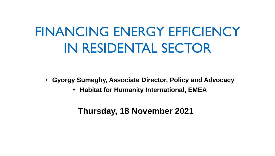# FINANCING ENERGY EFFICIENCY IN RESIDENTAL SECTOR

- **Gyorgy Sumeghy, Associate Director, Policy and Advocacy**
	- **Habitat for Humanity International, EMEA**

### **Thursday, 18 November 2021**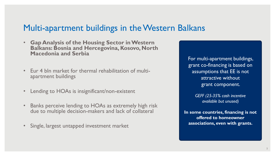### Multi-apartment buildings in the Western Balkans

- **Gap Analysis of the Housing Sector in Western Balkans: Bosnia and Hercegovina, Kosovo, North Macedonia and Serbia**
- Eur 4 bln market for thermal rehabilitation of multiapartment buildings
- Lending to HOAs is insignificant/non-existent
- Banks perceive lending to HOAs as extremely high risk due to multiple decision-makers and lack of collateral
- Single, largest untapped investment market

For multi-apartment buildings, grant co-financing is based on assumptions that EE is not attractive without grant component.

> *GEFF (25-35% cash incentive available but unused)*

**In some countries, financing is not offered to homeowner associations, even with grants.**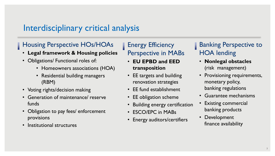### Interdisciplinary critical analysis

### **Housing Perspective HOs/HOAs**

- **Legal framework & Housing policies**
- Obligations/ Functional roles of:
	- Homeowners associations (HOA)
	- Residential building managers (RBM)
- Voting rights/decision making
- Generation of maintenance/ reserve funds
- Obligation to pay fees/ enforcement provisions
- Institutional structures

**Energy Efficiency** Perspective in MABs

- **EU EPBD and EED transposition**
- EE targets and building renovation strategies
- EE fund establishment
- EE obligation scheme
- Building energy certification
- ESCO/EPC in MABs
- Energy auditors/certifiers

### Banking Perspective to HOA lending

- **Nonlegal obstacles**  (risk management)
- Provisioning requirements, monetary policy, banking regulations
- Guarantee mechanisms
- **Existing commercial** banking products
- Development finance availability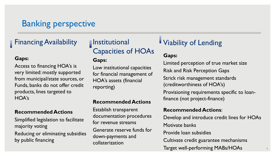# Banking perspective

### **Financing Availability**

#### **Gaps:**

Access to financing HOA's is very limited: mostly supported from municipal/state sources, or Funds, banks do not offer credit products, lines targeted to HOA's

#### **Recommended Actions**

Simplified legislation to facilitate majority voting Reducing or eliminating subsidies by public financing

### **Institutional** Capacities of HOAs

#### **Gaps:**

Low institutional capacities for financial management of HOA's assets (financial reporting)

#### **Recommended Actions**

Establish transparent documentation procedures for revenue streams Generate reserve funds for down-payments and collaterization

### Viability of Lending

#### **Gaps:**

Limited perception of true market size Risk and Risk Perception Gaps Strick risk management standards (creditworthiness of HOA's) Provisioning requirements specific to loanfinance (not project-finance)

#### **Recommended Actions**:

Develop and introduce credit lines for HOAs

4

Motivate banks

Provide loan subsidies

Cultivate credit guarantee mechanisms

Target well-performing MABs/HOAs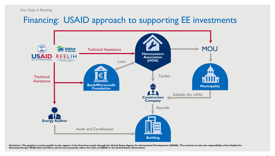#### Key Gaps in Banking

### Financing: USAID approach to supporting EE investments



**Disclaimer: This graphics is made possible by the support of the American people through the United States Agency for International Development (USAID). The contents are the sole responsibility of the Habitat for Humanity Europe, Middle East and Africa and do not necessarily reflect the views of USAID or the United States Government.**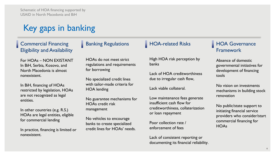Schematic of HOA financing supported by USAID in North Macedonia and BiH

# Key gaps in banking

Commercial Financing Eligibility and Availability

For HOAs – NON EXISTANT In BiH, Serbia, Kosovo, and North Macedonia is almost nonexistent.

In BiH, financing of HOAs restricted by legislation, HOAs are not recognized as legal entities.

In other countries (e.g. R.S.) HOAs are legal entities, eligible for commercial lending

In practice, financing is limited or nonexistent.

#### **Banking Regulations**

HOAs do not meet strict regulations and requirements for borrowing

No specialized credit lines with tailor-made criteria for HOA lending

No guarantee mechanisms for HOAs credit risk management

No vehicles to encourage banks to create specialized credit lines for HOAs' needs.

#### **HOA-related Risks**

High HOA risk perception by banks

Lack of HOA creditworthiness due to irregular cash flow,

Lack viable collateral.

Low maintenance fees generate insufficient cash flow for creditworthiness, collaterization or loan repayment

Poor collection rate / enforcement of fees

Lack of consistent reporting or documenting its financial reliability.

#### **HOA Governance** Framework

Absence of domestic governmental initiatives for development of financing tools

No vision on investments mechanisms in building stock renovation

No public/state support to initiating financial service providers who consider/start commercial financing for **HOAs**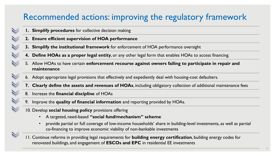# Recommended actions: improving the regulatory framework

- **1. Simplify procedures** for collective decision making
- **2. Ensure efficient supervision of HOA performance**
- **3. Simplify the institutional framework** for enforcement of HOA performance oversight
- **4. Define HOAs as a proper legal entity**, or any other legal form that enables HOAs to access financing.
- 5. Allow HOAs to have certain **enforcement recourse against owners failing to participate in repair and maintenance**
- 6. Adopt appropriate legal provisions that effectively and expediently deal with housing-cost defaulters.
- **7. Clearly define the assets and revenues of HOAs**, including obligatory collection of additional maintenance fees
- 8. Increase the **financial discipline** of HOAs
- 9. Improve the **quality of financial information** and reporting provided by HOAs.
- 10. Develop **social housing policy** provisions offering
	- A targeted, need-based **"social fund/mechanism" scheme**
	- provide partial or full coverage of low-income households' share in building-level investments, as well as partial co-financing to improve economic viability of non-bankable investments
- 11. Continue reforms in providing legal requirements for **building energy certification**, building energy codes for renovated buildings, and engagement of **ESCOs and EPC** in residential EE investments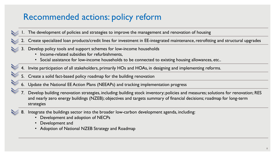### Recommended actions: policy reform

- 1. The development of policies and strategies to improve the management and renovation of housing
- 2. Create specialized loan products/credit lines for investment in EE-integrated maintenance, retrofitting and structural upgrades
- 3. Develop policy tools and support schemes for low-income households
	- Income-related subsidies for refurbishments,
	- Social assistance for low-income households to be connected to existing housing allowances, etc..
- 4. Invite participation of all stakeholders, primarily HOs and HOAs, in designing and implementing reforms.
- 5. Create a solid fact-based policy roadmap for the building renovation
- 6. Update the National EE Action Plans (NEEAPs) and tracking implementation progress
- 7. Develop building renovation strategies, including: building stock inventory; policies and measures; solutions for renovation; RES and nearly zero energy buildings (NZEB); objectives and targets summary of financial decisions; roadmap for long-term strategies
- 8. Integrate the buildings sector into the broader low-carbon development agenda, including:
	- Development and adoption of NECPs
	- Development and
	- Adoption of National NZEB Strategy and Roadmap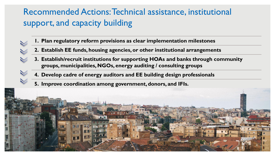# Recommended Actions: Technical assistance, institutional support, and capacity building

- **1. Plan regulatory reform provisions as clear implementation milestones**
- **2. Establish EE funds, housing agencies, or other institutional arrangements**
- **3. Establish/recruit institutions for supporting HOAs and banks through community groups, municipalities, NGOs, energy auditing / consulting groups**
- **4. Develop cadre of energy auditors and EE building design professionals**
- **5. Improve coordination among government, donors, and IFIs.**

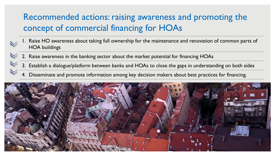# Recommended actions: raising awareness and promoting the concept of commercial financing for HOAs

- 1. Raise HO awareness about taking full ownership for the maintenance and renovation of common parts of HOA buildings
- 2. Raise awareness in the banking sector about the market potential for financing HOAs
- 3. Establish a dialogue/platform between banks and HOAs to close the gaps in understanding on both sides
- 4. Disseminate and promote information among key decision makers about best practices for financing.

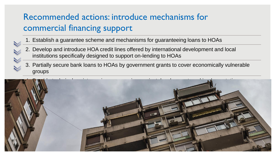# Recommended actions: introduce mechanisms for commercial financing support

- 1. Establish a guarantee scheme and mechanisms for guaranteeing loans to HOAs
- 2. Develop and introduce HOA credit lines offered by international development and local institutions specifically designed to support on-lending to HOAs
- 3. Partially secure bank loans to HOAs by government grants to cover economically vulnerable groups